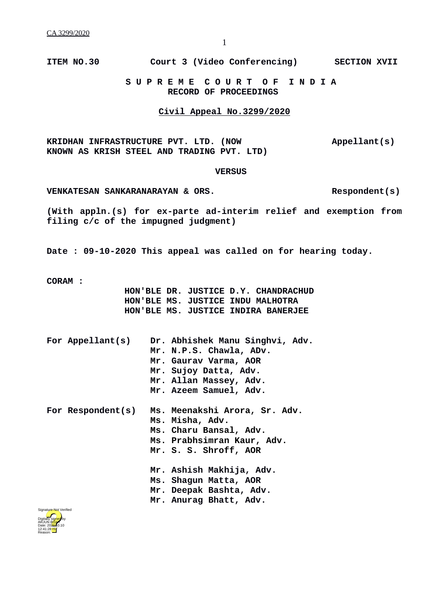**ITEM NO.30 Court 3 (Video Conferencing) SECTION XVII**

 **S U P R E M E C O U R T O F I N D I A RECORD OF PROCEEDINGS**

## **Civil Appeal No.3299/2020**

**KRIDHAN INFRASTRUCTURE PVT. LTD. (NOW Appellant(s) KNOWN AS KRISH STEEL AND TRADING PVT. LTD)**

## **VERSUS**

**VENKATESAN SANKARANARAYAN & ORS. Respondent(s)**

**(With appln.(s) for ex-parte ad-interim relief and exemption from filing c/c of the impugned judgment)**

**Date : 09-10-2020 This appeal was called on for hearing today.**

**CORAM :** 

 **HON'BLE DR. JUSTICE D.Y. CHANDRACHUD HON'BLE MS. JUSTICE INDU MALHOTRA HON'BLE MS. JUSTICE INDIRA BANERJEE**

|  | For Appellant(s)  | Dr. Abhishek Manu Singhvi, Adv.<br>Mr. N.P.S. Chawla, ADv.<br>Mr. Gaurav Varma, AOR<br>Mr. Sujoy Datta, Adv.<br>Mr. Allan Massey, Adv.<br>Mr. Azeem Samuel, Adv. |
|--|-------------------|------------------------------------------------------------------------------------------------------------------------------------------------------------------|
|  | For Respondent(s) | Ms. Meenakshi Arora, Sr. Adv.<br>Ms. Misha, Adv.<br>Ms. Charu Bansal, Adv.<br>Ms. Prabhsimran Kaur, Adv.<br>Mr. S. S. Shroff, AOR                                |
|  |                   | Mr. Ashish Makhija, Adv.<br>Ms. Shagun Matta, AOR<br>Mr. Deepak Bashta, Adv.                                                                                     |

**Mr. Anurag Bhatt, Adv.**

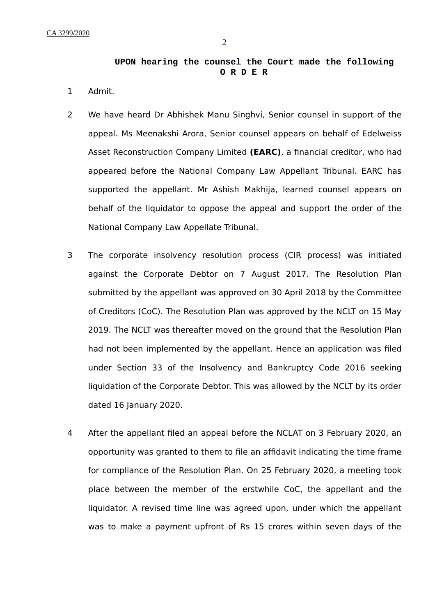## **UPON hearing the counsel the Court made the following O R D E R**

- 1 Admit.
- 2 We have heard Dr Abhishek Manu Singhvi, Senior counsel in support of the appeal. Ms Meenakshi Arora, Senior counsel appears on behalf of Edelweiss Asset Reconstruction Company Limited **(EARC)**, a financial creditor, who had appeared before the National Company Law Appellant Tribunal. EARC has supported the appellant. Mr Ashish Makhija, learned counsel appears on behalf of the liquidator to oppose the appeal and support the order of the National Company Law Appellate Tribunal.
- 3 The corporate insolvency resolution process (CIR process) was initiated against the Corporate Debtor on 7 August 2017. The Resolution Plan submitted by the appellant was approved on 30 April 2018 by the Committee of Creditors (CoC). The Resolution Plan was approved by the NCLT on 15 May 2019. The NCLT was thereafter moved on the ground that the Resolution Plan had not been implemented by the appellant. Hence an application was filed under Section 33 of the Insolvency and Bankruptcy Code 2016 seeking liquidation of the Corporate Debtor. This was allowed by the NCLT by its order dated 16 January 2020.
- 4 After the appellant filed an appeal before the NCLAT on 3 February 2020, an opportunity was granted to them to file an affidavit indicating the time frame for compliance of the Resolution Plan. On 25 February 2020, a meeting took place between the member of the erstwhile CoC, the appellant and the liquidator. A revised time line was agreed upon, under which the appellant was to make a payment upfront of Rs 15 crores within seven days of the

2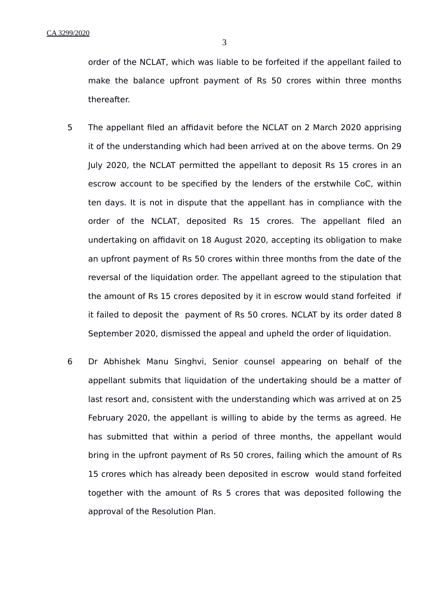order of the NCLAT, which was liable to be forfeited if the appellant failed to make the balance upfront payment of Rs 50 crores within three months thereafter.

- 5 The appellant filed an affidavit before the NCLAT on 2 March 2020 apprising it of the understanding which had been arrived at on the above terms. On 29 July 2020, the NCLAT permitted the appellant to deposit Rs 15 crores in an escrow account to be specified by the lenders of the erstwhile CoC, within ten days. It is not in dispute that the appellant has in compliance with the order of the NCLAT, deposited Rs 15 crores. The appellant filed an undertaking on affidavit on 18 August 2020, accepting its obligation to make an upfront payment of Rs 50 crores within three months from the date of the reversal of the liquidation order. The appellant agreed to the stipulation that the amount of Rs 15 crores deposited by it in escrow would stand forfeited if it failed to deposit the payment of Rs 50 crores. NCLAT by its order dated 8 September 2020, dismissed the appeal and upheld the order of liquidation.
- 6 Dr Abhishek Manu Singhvi, Senior counsel appearing on behalf of the appellant submits that liquidation of the undertaking should be a matter of last resort and, consistent with the understanding which was arrived at on 25 February 2020, the appellant is willing to abide by the terms as agreed. He has submitted that within a period of three months, the appellant would bring in the upfront payment of Rs 50 crores, failing which the amount of Rs 15 crores which has already been deposited in escrow would stand forfeited together with the amount of Rs 5 crores that was deposited following the approval of the Resolution Plan.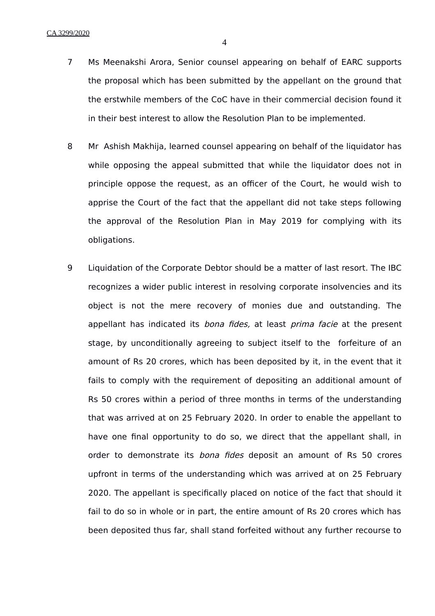- 7 Ms Meenakshi Arora, Senior counsel appearing on behalf of EARC supports the proposal which has been submitted by the appellant on the ground that the erstwhile members of the CoC have in their commercial decision found it in their best interest to allow the Resolution Plan to be implemented.
- 8 Mr Ashish Makhija, learned counsel appearing on behalf of the liquidator has while opposing the appeal submitted that while the liquidator does not in principle oppose the request, as an officer of the Court, he would wish to apprise the Court of the fact that the appellant did not take steps following the approval of the Resolution Plan in May 2019 for complying with its obligations.
- 9 Liquidation of the Corporate Debtor should be a matter of last resort. The IBC recognizes a wider public interest in resolving corporate insolvencies and its object is not the mere recovery of monies due and outstanding. The appellant has indicated its bona fides, at least prima facie at the present stage, by unconditionally agreeing to subject itself to the forfeiture of an amount of Rs 20 crores, which has been deposited by it, in the event that it fails to comply with the requirement of depositing an additional amount of Rs 50 crores within a period of three months in terms of the understanding that was arrived at on 25 February 2020. In order to enable the appellant to have one final opportunity to do so, we direct that the appellant shall, in order to demonstrate its *bona fides* deposit an amount of Rs 50 crores upfront in terms of the understanding which was arrived at on 25 February 2020. The appellant is specifically placed on notice of the fact that should it fail to do so in whole or in part, the entire amount of Rs 20 crores which has been deposited thus far, shall stand forfeited without any further recourse to